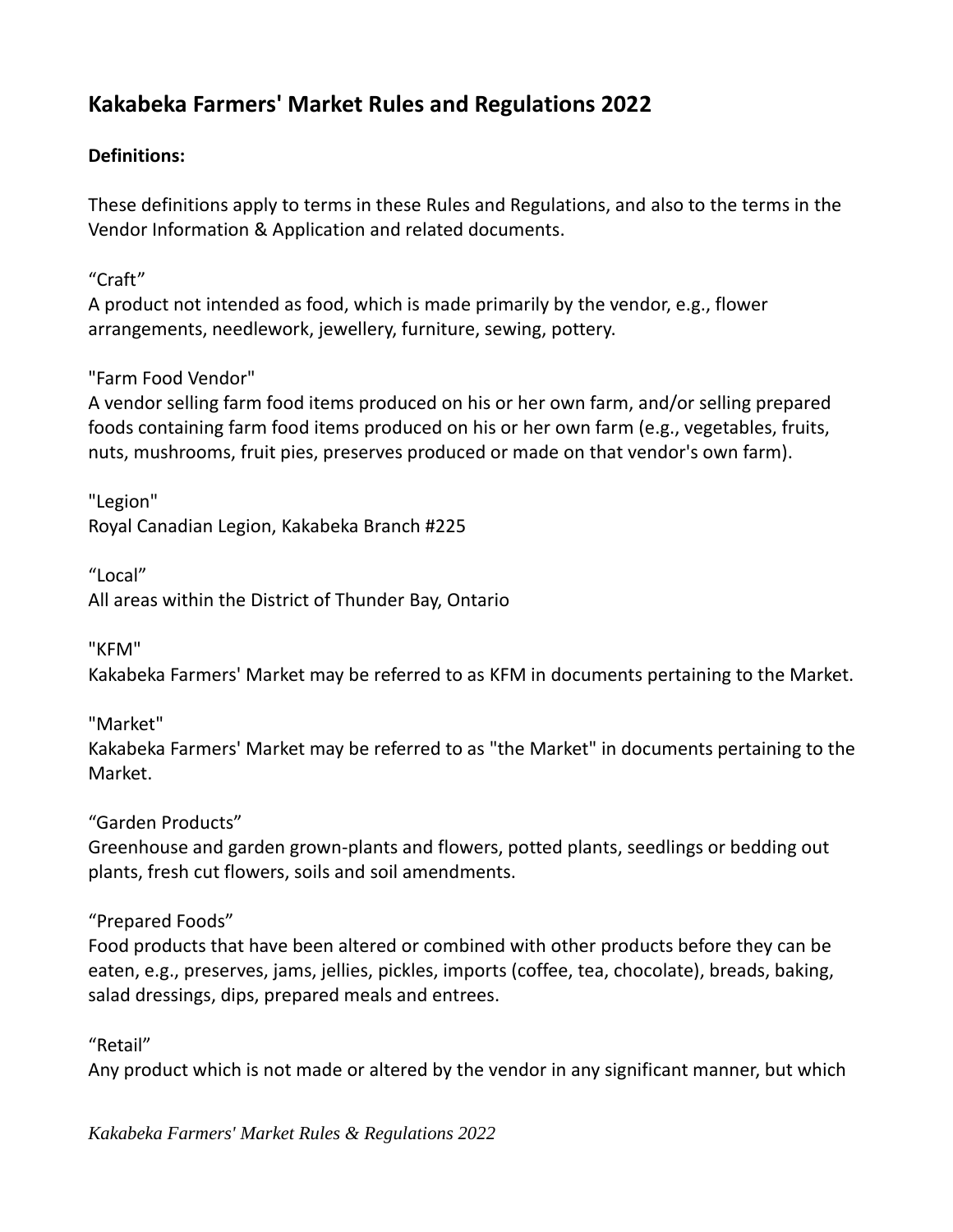# **Kakabeka Farmers' Market Rules and Regulations 2022**

### **Definitions:**

These definitions apply to terms in these Rules and Regulations, and also to the terms in the Vendor Information & Application and related documents.

"Craft"

A product not intended as food, which is made primarily by the vendor, e.g., flower arrangements, needlework, jewellery, furniture, sewing, pottery.

"Farm Food Vendor"

A vendor selling farm food items produced on his or her own farm, and/or selling prepared foods containing farm food items produced on his or her own farm (e.g., vegetables, fruits, nuts, mushrooms, fruit pies, preserves produced or made on that vendor's own farm).

"Legion" Royal Canadian Legion, Kakabeka Branch #225

"Local" All areas within the District of Thunder Bay, Ontario

"KFM"

Kakabeka Farmers' Market may be referred to as KFM in documents pertaining to the Market.

"Market" Kakabeka Farmers' Market may be referred to as "the Market" in documents pertaining to the Market.

"Garden Products"

Greenhouse and garden grown-plants and flowers, potted plants, seedlings or bedding out plants, fresh cut flowers, soils and soil amendments.

"Prepared Foods"

Food products that have been altered or combined with other products before they can be eaten, e.g., preserves, jams, jellies, pickles, imports (coffee, tea, chocolate), breads, baking, salad dressings, dips, prepared meals and entrees.

"Retail"

Any product which is not made or altered by the vendor in any significant manner, but which

*Kakabeka Farmers' Market Rules & Regulations 2022*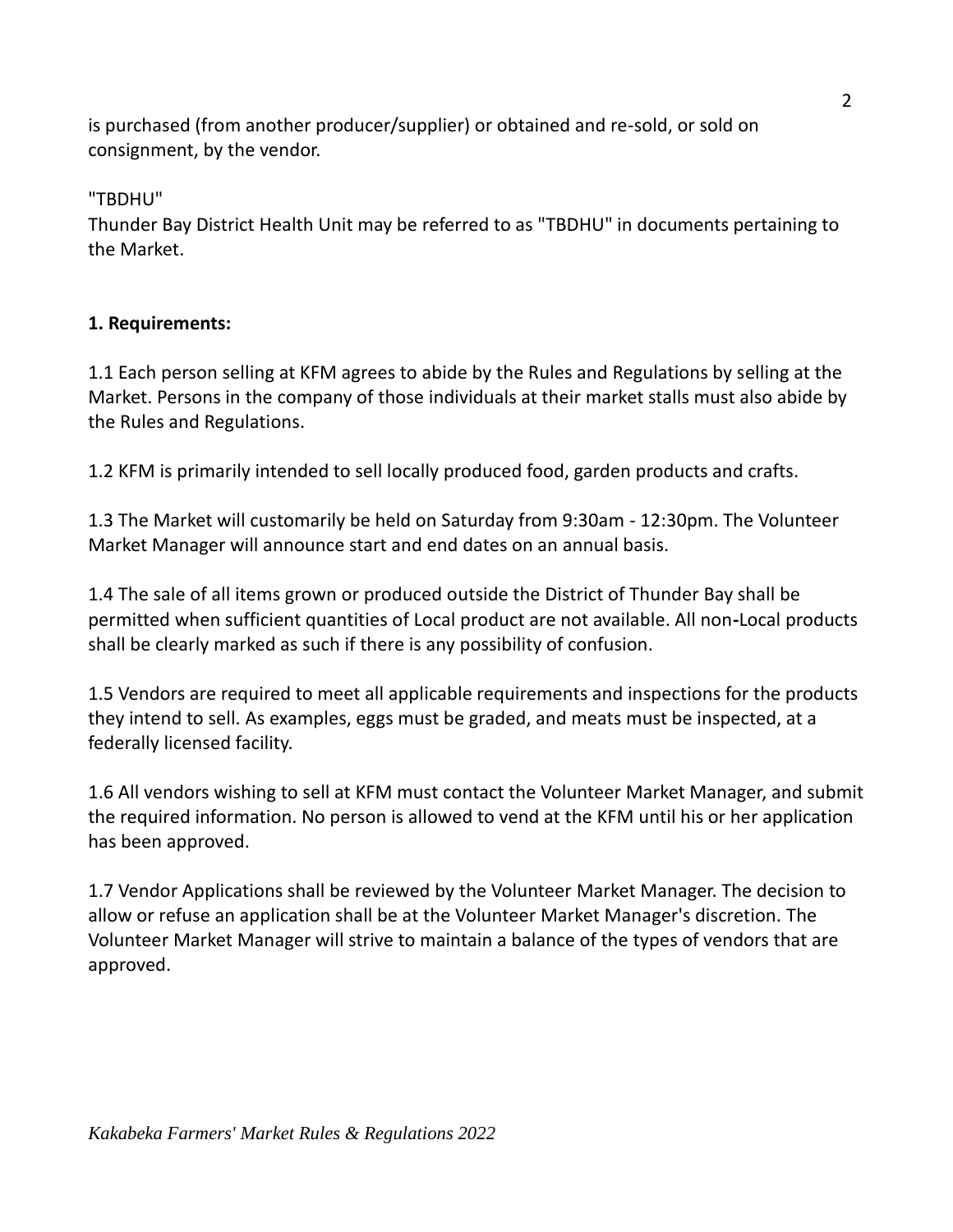is purchased (from another producer/supplier) or obtained and re‐sold, or sold on consignment, by the vendor.

"TBDHU"

Thunder Bay District Health Unit may be referred to as "TBDHU" in documents pertaining to the Market.

### **1. Requirements:**

1.1 Each person selling at KFM agrees to abide by the Rules and Regulations by selling at the Market. Persons in the company of those individuals at their market stalls must also abide by the Rules and Regulations.

1.2 KFM is primarily intended to sell locally produced food, garden products and crafts.

1.3 The Market will customarily be held on Saturday from 9:30am - 12:30pm. The Volunteer Market Manager will announce start and end dates on an annual basis.

1.4 The sale of all items grown or produced outside the District of Thunder Bay shall be permitted when sufficient quantities of Local product are not available. All non**‐**Local products shall be clearly marked as such if there is any possibility of confusion.

1.5 Vendors are required to meet all applicable requirements and inspections for the products they intend to sell. As examples, eggs must be graded, and meats must be inspected, at a federally licensed facility.

1.6 All vendors wishing to sell at KFM must contact the Volunteer Market Manager, and submit the required information. No person is allowed to vend at the KFM until his or her application has been approved.

1.7 Vendor Applications shall be reviewed by the Volunteer Market Manager. The decision to allow or refuse an application shall be at the Volunteer Market Manager's discretion. The Volunteer Market Manager will strive to maintain a balance of the types of vendors that are approved.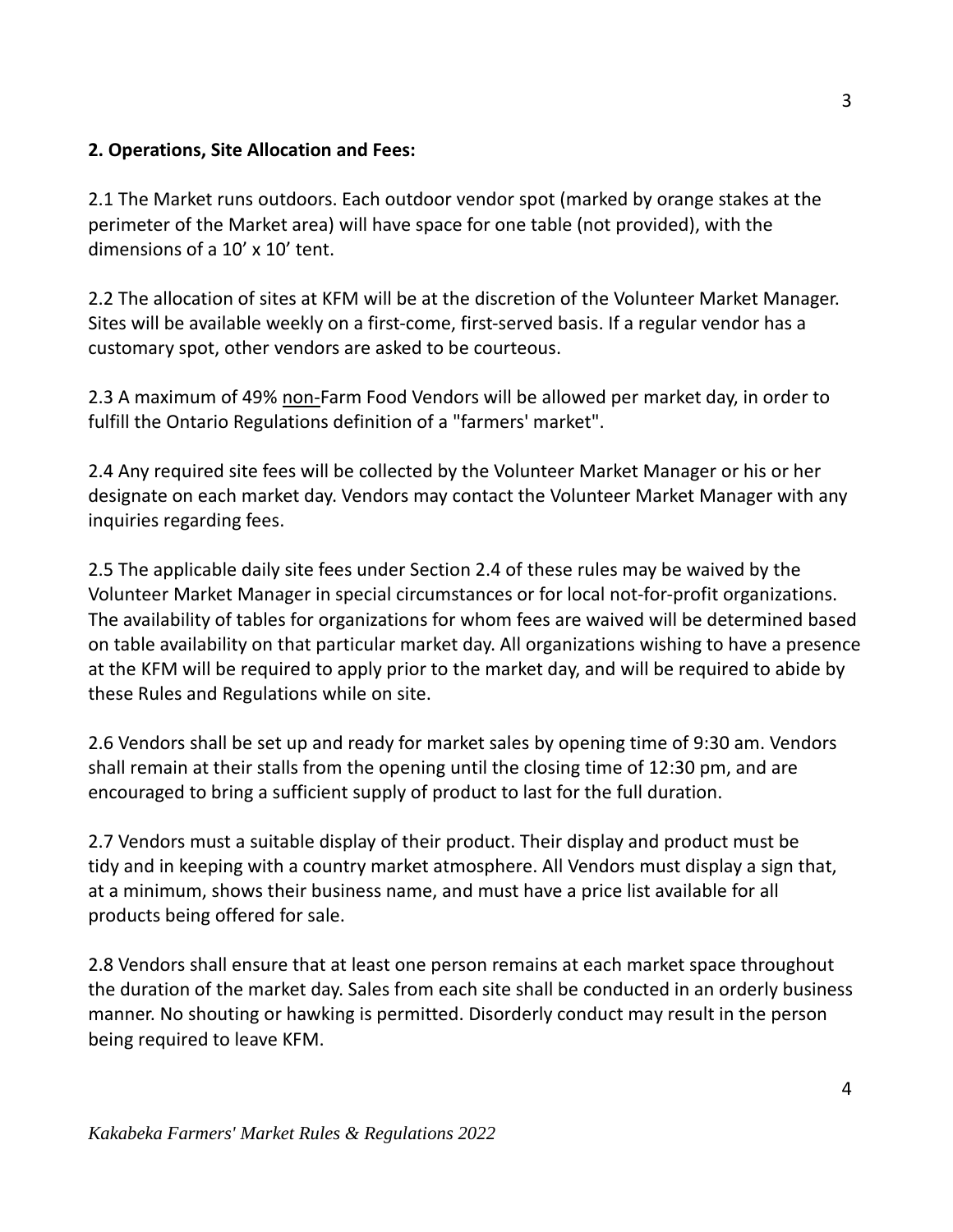#### **2. Operations, Site Allocation and Fees:**

2.1 The Market runs outdoors. Each outdoor vendor spot (marked by orange stakes at the perimeter of the Market area) will have space for one table (not provided), with the dimensions of a 10' x 10' tent.

2.2 The allocation of sites at KFM will be at the discretion of the Volunteer Market Manager. Sites will be available weekly on a first-come, first-served basis. If a regular vendor has a customary spot, other vendors are asked to be courteous.

2.3 A maximum of 49% non-Farm Food Vendors will be allowed per market day, in order to fulfill the Ontario Regulations definition of a "farmers' market".

2.4 Any required site fees will be collected by the Volunteer Market Manager or his or her designate on each market day. Vendors may contact the Volunteer Market Manager with any inquiries regarding fees.

2.5 The applicable daily site fees under Section 2.4 of these rules may be waived by the Volunteer Market Manager in special circumstances or for local not-for-profit organizations. The availability of tables for organizations for whom fees are waived will be determined based on table availability on that particular market day. All organizations wishing to have a presence at the KFM will be required to apply prior to the market day, and will be required to abide by these Rules and Regulations while on site.

2.6 Vendors shall be set up and ready for market sales by opening time of 9:30 am. Vendors shall remain at their stalls from the opening until the closing time of 12:30 pm, and are encouraged to bring a sufficient supply of product to last for the full duration.

2.7 Vendors must a suitable display of their product. Their display and product must be tidy and in keeping with a country market atmosphere. All Vendors must display a sign that, at a minimum, shows their business name, and must have a price list available for all products being offered for sale.

2.8 Vendors shall ensure that at least one person remains at each market space throughout the duration of the market day. Sales from each site shall be conducted in an orderly business manner. No shouting or hawking is permitted. Disorderly conduct may result in the person being required to leave KFM.